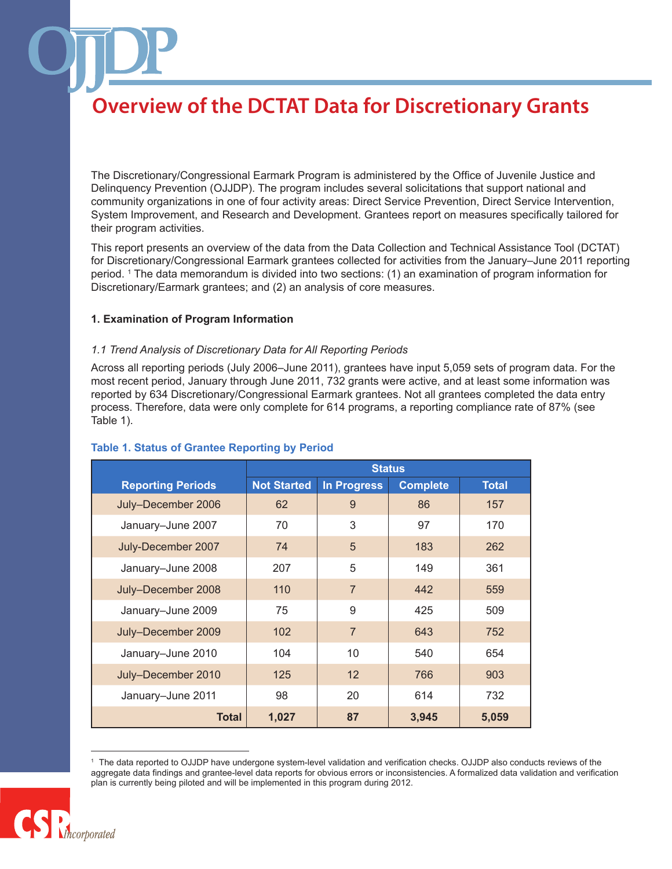The Discretionary/Congressional Earmark Program is administered by the Office of Juvenile Justice and Delinquency Prevention (OJJDP). The program includes several solicitations that support national and community organizations in one of four activity areas: Direct Service Prevention, Direct Service Intervention, System Improvement, and Research and Development. Grantees report on measures specifically tailored for their program activities.

This report presents an overview of the data from the Data Collection and Technical Assistance Tool (DCTAT) for Discretionary/Congressional Earmark grantees collected for activities from the January–June 2011 reporting period. 1 The data memorandum is divided into two sections: (1) an examination of program information for Discretionary/Earmark grantees; and (2) an analysis of core measures.

#### **1. Examination of Program Information**

### *1.1 Trend Analysis of Discretionary Data for All Reporting Periods*

Across all reporting periods (July 2006–June 2011), grantees have input 5,059 sets of program data. For the most recent period, January through June 2011, 732 grants were active, and at least some information was reported by 634 Discretionary/Congressional Earmark grantees. Not all grantees completed the data entry process. Therefore, data were only complete for 614 programs, a reporting compliance rate of 87% (see Table 1).

|                          | <b>Status</b>      |                    |                 |              |
|--------------------------|--------------------|--------------------|-----------------|--------------|
| <b>Reporting Periods</b> | <b>Not Started</b> | <b>In Progress</b> | <b>Complete</b> | <b>Total</b> |
| July-December 2006       | 62                 | 9                  | 86              | 157          |
| January-June 2007        | 70                 | 3                  | 97              | 170          |
| July-December 2007       | 74                 | 5                  | 183             | 262          |
| January-June 2008        | 207                | 5                  | 149             | 361          |
| July-December 2008       | 110                | $\overline{7}$     | 442             | 559          |
| January-June 2009        | 75                 | 9                  | 425             | 509          |
| July-December 2009       | 102                | $\overline{7}$     | 643             | 752          |
| January-June 2010        | 104                | 10                 | 540             | 654          |
| July-December 2010       | 125                | 12                 | 766             | 903          |
| January-June 2011        | 98                 | 20                 | 614             | 732          |
| Total                    | 1,027              | 87                 | 3,945           | 5,059        |

#### **Table 1. Status of Grantee Reporting by Period**

<sup>1</sup> The data reported to OJJDP have undergone system-level validation and verification checks. OJJDP also conducts reviews of the aggregate data findings and grantee-level data reports for obvious errors or inconsistencies. A formalized data validation and verification plan is currently being piloted and will be implemented in this program during 2012.

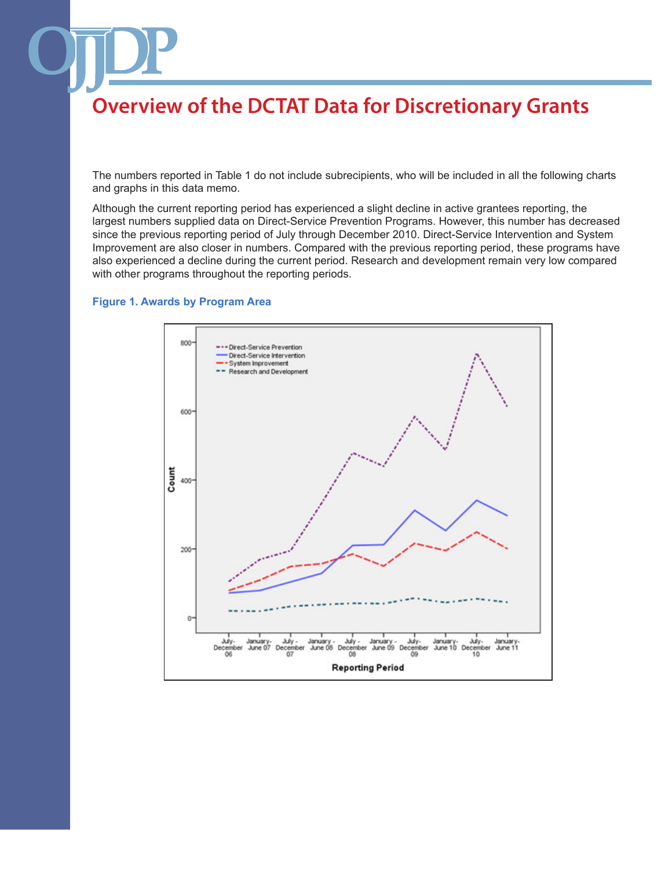The numbers reported in Table 1 do not include subrecipients, who will be included in all the following charts and graphs in this data memo.

Although the current reporting period has experienced a slight decline in active grantees reporting, the largest numbers supplied data on Direct-Service Prevention Programs. However, this number has decreased since the previous reporting period of July through December 2010. Direct-Service Intervention and System Improvement are also closer in numbers. Compared with the previous reporting period, these programs have also experienced a decline during the current period. Research and development remain very low compared with other programs throughout the reporting periods.

### **Figure 1. Awards by Program Area**

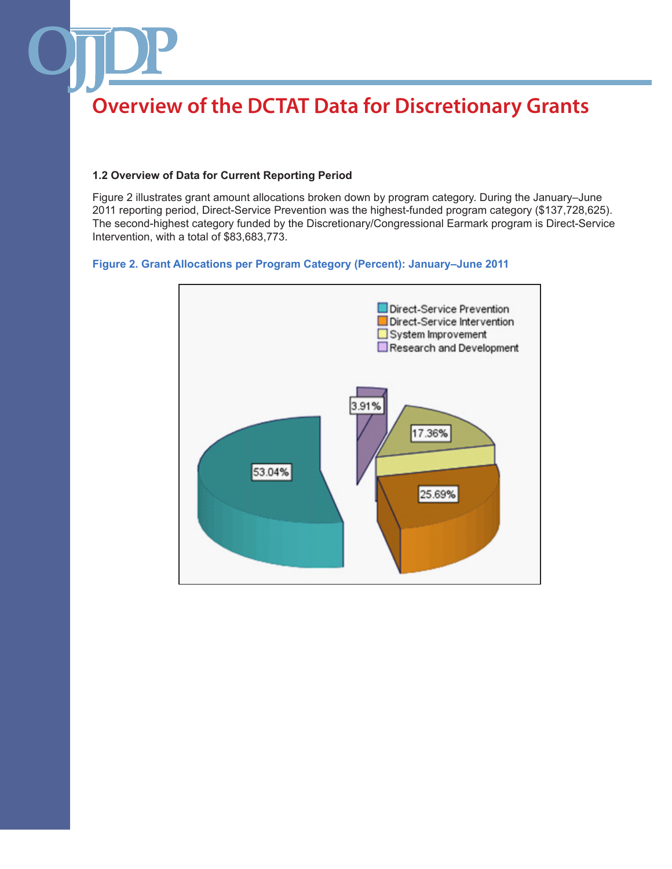### **1.2 Overview of Data for Current Reporting Period**

Figure 2 illustrates grant amount allocations broken down by program category. During the January–June 2011 reporting period, Direct-Service Prevention was the highest-funded program category (\$137,728,625). The second-highest category funded by the Discretionary/Congressional Earmark program is Direct-Service Intervention, with a total of \$83,683,773.

### **Figure 2. Grant Allocations per Program Category (Percent): January–June 2011**

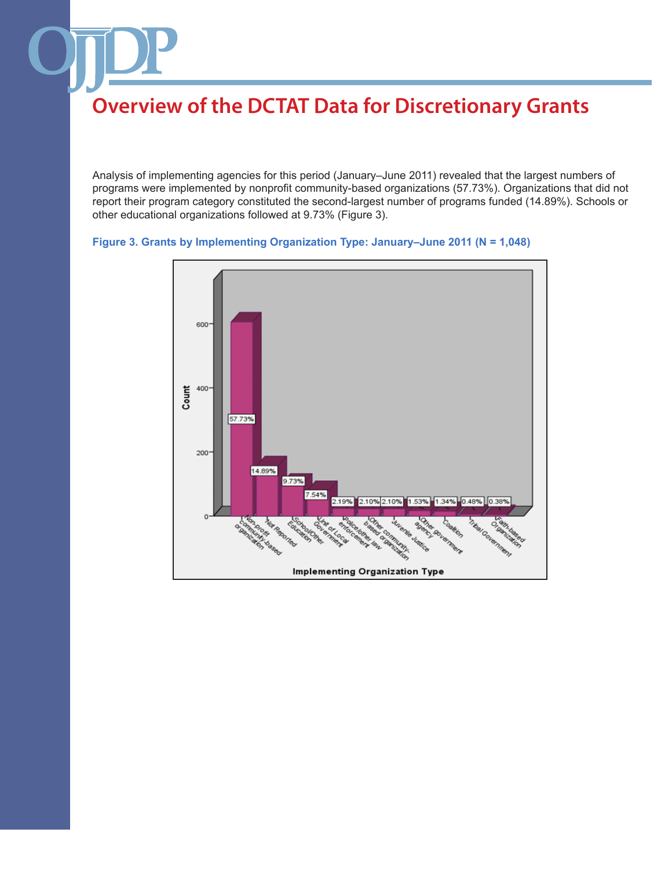Analysis of implementing agencies for this period (January–June 2011) revealed that the largest numbers of programs were implemented by nonprofit community-based organizations (57.73%). Organizations that did not report their program category constituted the second-largest number of programs funded (14.89%). Schools or other educational organizations followed at 9.73% (Figure 3).

```
Figure 3. Grants by Implementing Organization Type: January–June 2011 (N = 1,048)
```
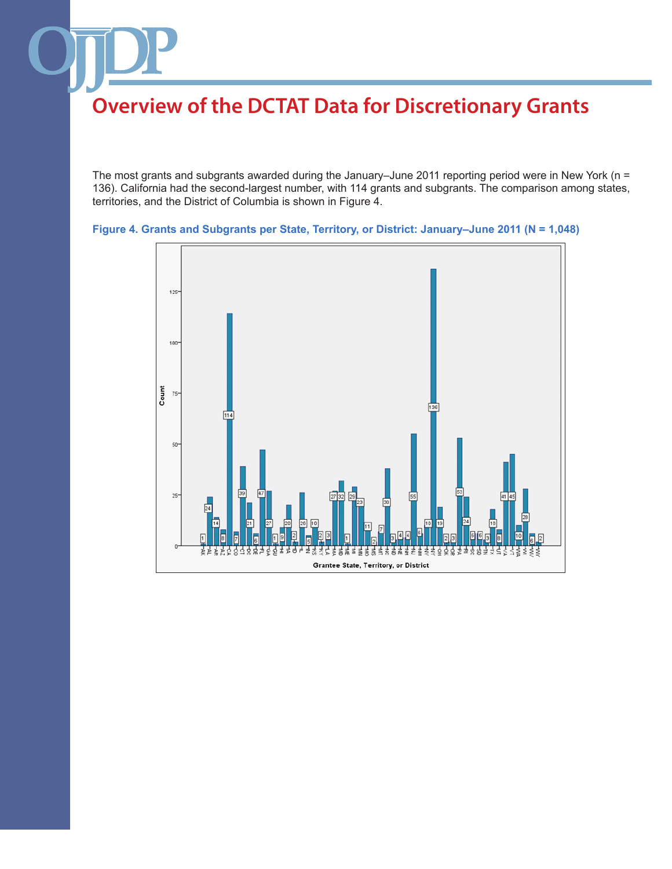The most grants and subgrants awarded during the January–June 2011 reporting period were in New York (n = 136). California had the second-largest number, with 114 grants and subgrants. The comparison among states, territories, and the District of Columbia is shown in Figure 4.



**Figure 4. Grants and Subgrants per State, Territory, or District: January–June 2011 (N = 1,048)**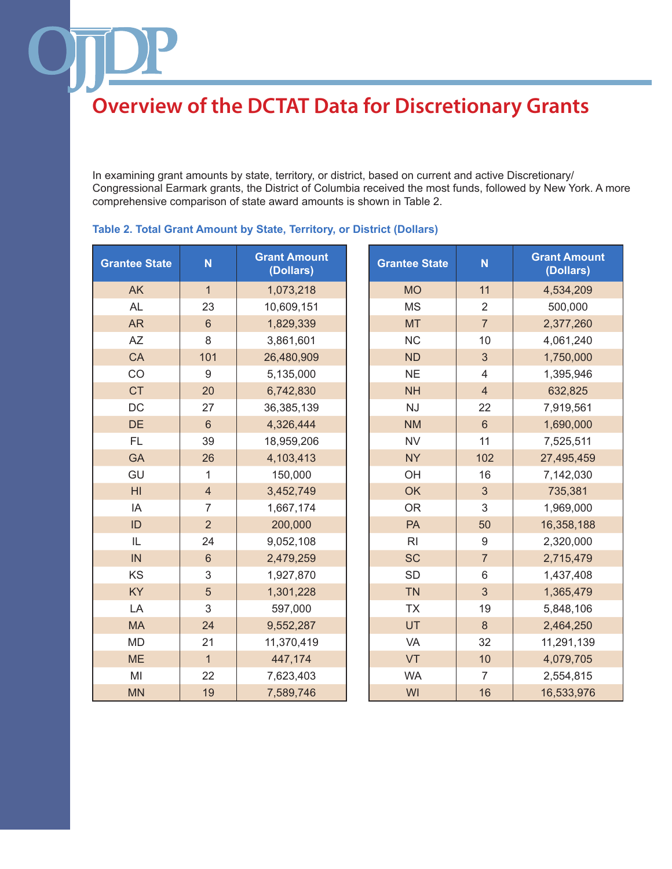In examining grant amounts by state, territory, or district, based on current and active Discretionary/ Congressional Earmark grants, the District of Columbia received the most funds, followed by New York. A more comprehensive comparison of state award amounts is shown in Table 2.

| <b>Grantee State</b> | N              | <b>Grant Amount</b><br>(Dollars) | <b>Grantee State</b> | N                | <b>Grant Amount</b><br>(Dollars) |
|----------------------|----------------|----------------------------------|----------------------|------------------|----------------------------------|
| <b>AK</b>            | $\mathbf{1}$   | 1,073,218                        | <b>MO</b>            | 11               | 4,534,209                        |
| <b>AL</b>            | 23             | 10,609,151                       | <b>MS</b>            | $\overline{2}$   | 500,000                          |
| <b>AR</b>            | $6\phantom{1}$ | 1,829,339                        | <b>MT</b>            | $\overline{7}$   | 2,377,260                        |
| <b>AZ</b>            | 8              | 3,861,601                        | <b>NC</b>            | 10               | 4,061,240                        |
| CA                   | 101            | 26,480,909                       | <b>ND</b>            | 3                | 1,750,000                        |
| CO                   | 9              | 5,135,000                        | <b>NE</b>            | 4                | 1,395,946                        |
| <b>CT</b>            | 20             | 6,742,830                        | <b>NH</b>            | $\overline{4}$   | 632,825                          |
| DC                   | 27             | 36,385,139                       | <b>NJ</b>            | 22               | 7,919,561                        |
| <b>DE</b>            | $6\phantom{1}$ | 4,326,444                        | <b>NM</b>            | $6\phantom{1}$   | 1,690,000                        |
| <b>FL</b>            | 39             | 18,959,206                       | <b>NV</b>            | 11               | 7,525,511                        |
| <b>GA</b>            | 26             | 4,103,413                        | <b>NY</b>            | 102              | 27,495,459                       |
| GU                   | 1              | 150,000                          | OH                   | 16               | 7,142,030                        |
| H <sub>l</sub>       | $\overline{4}$ | 3,452,749                        | <b>OK</b>            | 3                | 735,381                          |
| IA                   | $\overline{7}$ | 1,667,174                        | <b>OR</b>            | 3                | 1,969,000                        |
| ID                   | $\overline{2}$ | 200,000                          | PA                   | 50               | 16,358,188                       |
| IL                   | 24             | 9,052,108                        | R <sub>l</sub>       | $\boldsymbol{9}$ | 2,320,000                        |
| IN                   | $\sqrt{6}$     | 2,479,259                        | <b>SC</b>            | $\overline{7}$   | 2,715,479                        |
| KS                   | $\sqrt{3}$     | 1,927,870                        | <b>SD</b>            | 6                | 1,437,408                        |
| KY                   | 5              | 1,301,228                        | <b>TN</b>            | 3                | 1,365,479                        |
| LA                   | 3              | 597,000                          | <b>TX</b>            | 19               | 5,848,106                        |
| <b>MA</b>            | 24             | 9,552,287                        | UT                   | 8                | 2,464,250                        |
| <b>MD</b>            | 21             | 11,370,419                       | VA                   | 32               | 11,291,139                       |
| <b>ME</b>            | $\mathbf{1}$   | 447,174                          | VT                   | 10               | 4,079,705                        |
| MI                   | 22             | 7,623,403                        | <b>WA</b>            | $\overline{7}$   | 2,554,815                        |
| <b>MN</b>            | 19             | 7,589,746                        | WI                   | 16               | 16,533,976                       |

### **Table 2. Total Grant Amount by State, Territory, or District (Dollars)**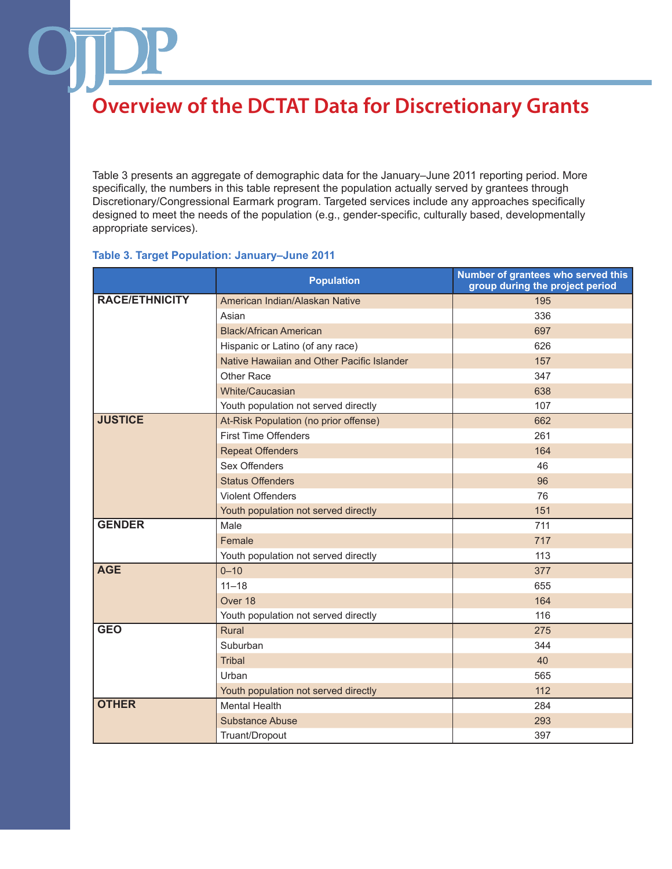Table 3 presents an aggregate of demographic data for the January–June 2011 reporting period. More specifically, the numbers in this table represent the population actually served by grantees through Discretionary/Congressional Earmark program. Targeted services include any approaches specifically designed to meet the needs of the population (e.g., gender-specific, culturally based, developmentally appropriate services).

### **Table 3. Target Population: January–June 2011**

|                       | <b>Population</b>                          | Number of grantees who served this<br>group during the project period |
|-----------------------|--------------------------------------------|-----------------------------------------------------------------------|
| <b>RACE/ETHNICITY</b> | American Indian/Alaskan Native             | 195                                                                   |
|                       | Asian                                      | 336                                                                   |
|                       | <b>Black/African American</b>              | 697                                                                   |
|                       | Hispanic or Latino (of any race)           | 626                                                                   |
|                       | Native Hawaiian and Other Pacific Islander | 157                                                                   |
|                       | Other Race                                 | 347                                                                   |
|                       | White/Caucasian                            | 638                                                                   |
|                       | Youth population not served directly       | 107                                                                   |
| <b>JUSTICE</b>        | At-Risk Population (no prior offense)      | 662                                                                   |
|                       | <b>First Time Offenders</b>                | 261                                                                   |
|                       | <b>Repeat Offenders</b>                    | 164                                                                   |
|                       | Sex Offenders                              | 46                                                                    |
|                       | <b>Status Offenders</b>                    | 96                                                                    |
|                       | <b>Violent Offenders</b>                   | 76                                                                    |
|                       | Youth population not served directly       | 151                                                                   |
| <b>GENDER</b>         | Male                                       | 711                                                                   |
|                       | Female                                     | 717                                                                   |
|                       | Youth population not served directly       | 113                                                                   |
| <b>AGE</b>            | $0 - 10$                                   | 377                                                                   |
|                       | $11 - 18$                                  | 655                                                                   |
|                       | Over 18                                    | 164                                                                   |
|                       | Youth population not served directly       | 116                                                                   |
| <b>GEO</b>            | Rural                                      | 275                                                                   |
|                       | Suburban                                   | 344                                                                   |
|                       | <b>Tribal</b>                              | 40                                                                    |
|                       | Urban                                      | 565                                                                   |
|                       | Youth population not served directly       | 112                                                                   |
| <b>OTHER</b>          | <b>Mental Health</b>                       | 284                                                                   |
|                       | <b>Substance Abuse</b>                     | 293                                                                   |
|                       | Truant/Dropout                             | 397                                                                   |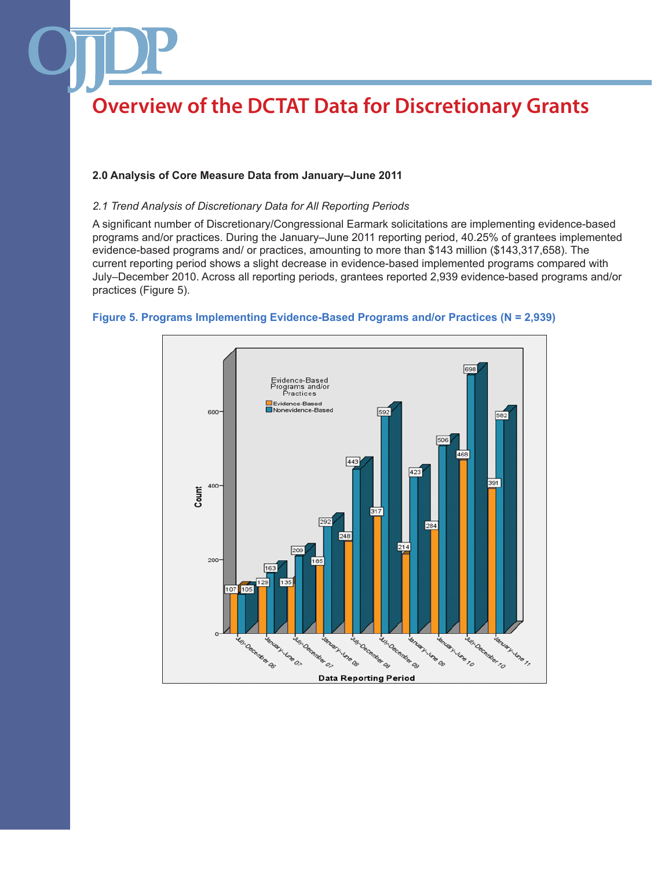### **2.0 Analysis of Core Measure Data from January–June 2011**

#### *2.1 Trend Analysis of Discretionary Data for All Reporting Periods*

A significant number of Discretionary/Congressional Earmark solicitations are implementing evidence-based programs and/or practices. During the January–June 2011 reporting period, 40.25% of grantees implemented evidence-based programs and/ or practices, amounting to more than \$143 million (\$143,317,658). The current reporting period shows a slight decrease in evidence-based implemented programs compared with July–December 2010. Across all reporting periods, grantees reported 2,939 evidence-based programs and/or practices (Figure 5).



#### **Figure 5. Programs Implementing Evidence-Based Programs and/or Practices (N = 2,939)**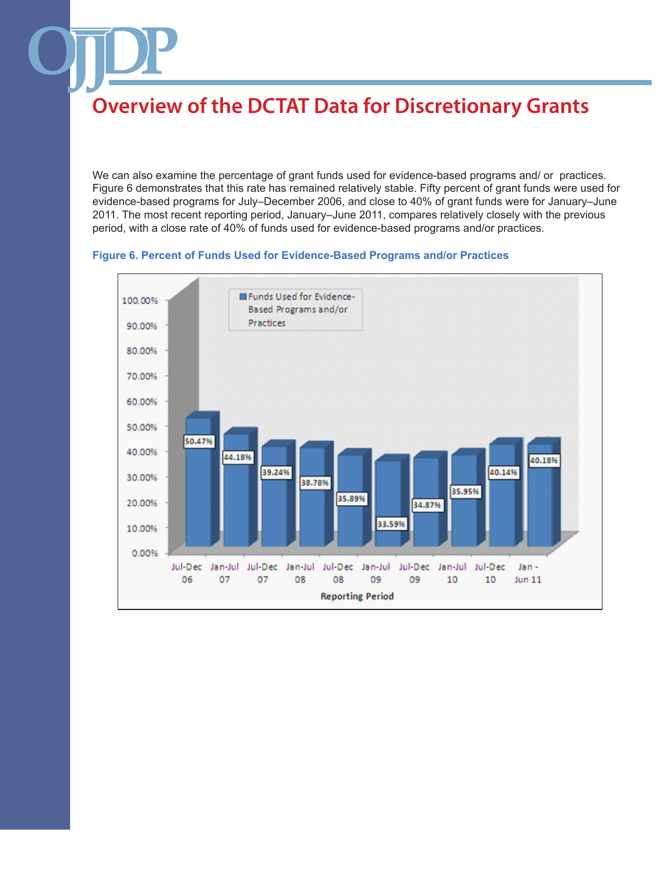We can also examine the percentage of grant funds used for evidence-based programs and/ or practices. Figure 6 demonstrates that this rate has remained relatively stable. Fifty percent of grant funds were used for evidence-based programs for July–December 2006, and close to 40% of grant funds were for January–June 2011. The most recent reporting period, January–June 2011, compares relatively closely with the previous period, with a close rate of 40% of funds used for evidence-based programs and/or practices.

#### **Figure 6. Percent of Funds Used for Evidence-Based Programs and/or Practices**

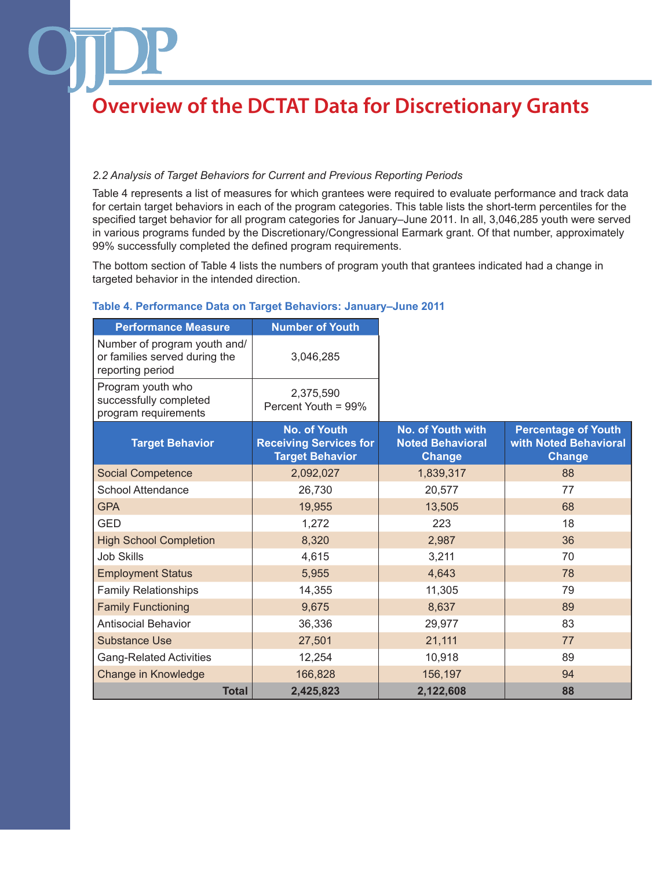### *2.2 Analysis of Target Behaviors for Current and Previous Reporting Periods*

Table 4 represents a list of measures for which grantees were required to evaluate performance and track data for certain target behaviors in each of the program categories. This table lists the short-term percentiles for the specified target behavior for all program categories for January–June 2011. In all, 3,046,285 youth were served in various programs funded by the Discretionary/Congressional Earmark grant. Of that number, approximately 99% successfully completed the defined program requirements.

The bottom section of Table 4 lists the numbers of program youth that grantees indicated had a change in targeted behavior in the intended direction.

### **Table 4. Performance Data on Target Behaviors: January–June 2011**

| <b>Performance Measure</b>                                                        | <b>Number of Youth</b>                                                         |                                                               |                                                                      |
|-----------------------------------------------------------------------------------|--------------------------------------------------------------------------------|---------------------------------------------------------------|----------------------------------------------------------------------|
| Number of program youth and/<br>or families served during the<br>reporting period | 3,046,285                                                                      |                                                               |                                                                      |
| Program youth who<br>successfully completed<br>program requirements               | 2,375,590<br>Percent Youth = 99%                                               |                                                               |                                                                      |
| <b>Target Behavior</b>                                                            | <b>No. of Youth</b><br><b>Receiving Services for</b><br><b>Target Behavior</b> | No. of Youth with<br><b>Noted Behavioral</b><br><b>Change</b> | <b>Percentage of Youth</b><br>with Noted Behavioral<br><b>Change</b> |
| <b>Social Competence</b>                                                          | 2,092,027                                                                      | 1,839,317                                                     | 88                                                                   |
| <b>School Attendance</b>                                                          | 26,730                                                                         | 20,577                                                        | 77                                                                   |
| <b>GPA</b>                                                                        | 19,955                                                                         | 13,505                                                        | 68                                                                   |
| <b>GED</b>                                                                        | 1,272                                                                          | 223                                                           | 18                                                                   |
| <b>High School Completion</b>                                                     | 8,320                                                                          | 2,987                                                         | 36                                                                   |
| <b>Job Skills</b>                                                                 | 4,615                                                                          | 3,211                                                         | 70                                                                   |
| <b>Employment Status</b>                                                          | 5,955                                                                          | 4,643                                                         | 78                                                                   |
| Family Relationships                                                              | 14,355                                                                         | 11,305                                                        | 79                                                                   |
| <b>Family Functioning</b>                                                         | 9,675                                                                          | 8,637                                                         | 89                                                                   |
| <b>Antisocial Behavior</b>                                                        | 36,336                                                                         | 29,977                                                        | 83                                                                   |
| <b>Substance Use</b>                                                              | 27,501                                                                         | 21,111                                                        | 77                                                                   |
| <b>Gang-Related Activities</b>                                                    | 12,254                                                                         | 10,918                                                        | 89                                                                   |
| Change in Knowledge                                                               | 166,828                                                                        | 156,197                                                       | 94                                                                   |
| <b>Total</b>                                                                      | 2,425,823                                                                      | 2,122,608                                                     | 88                                                                   |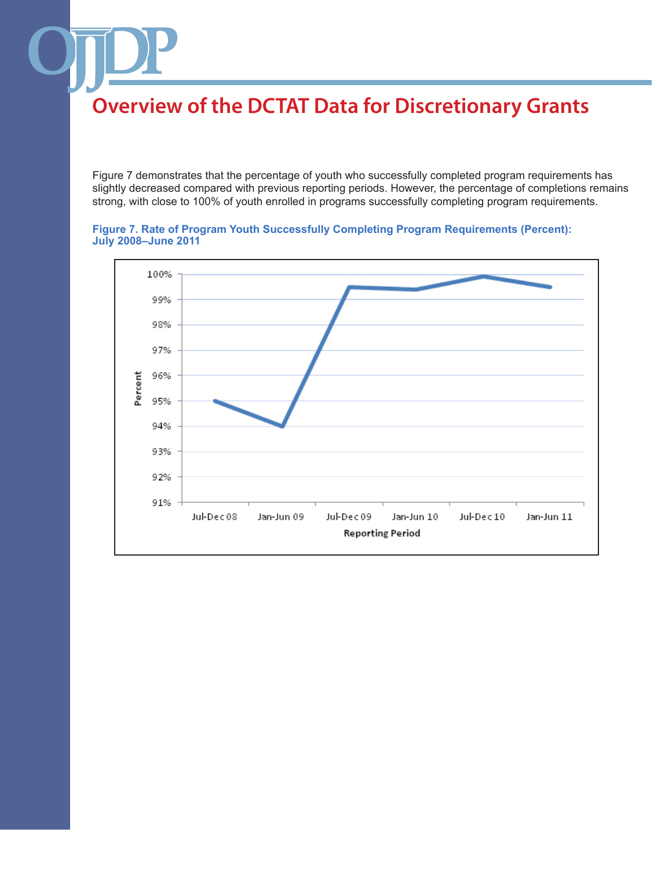Figure 7 demonstrates that the percentage of youth who successfully completed program requirements has slightly decreased compared with previous reporting periods. However, the percentage of completions remains strong, with close to 100% of youth enrolled in programs successfully completing program requirements.



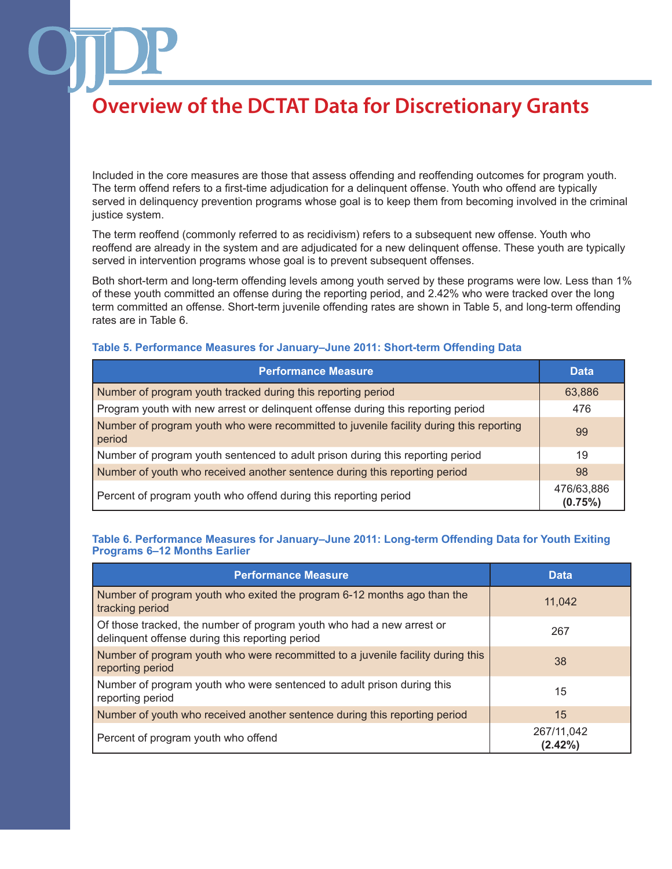Included in the core measures are those that assess offending and reoffending outcomes for program youth. The term offend refers to a first-time adjudication for a delinquent offense. Youth who offend are typically served in delinquency prevention programs whose goal is to keep them from becoming involved in the criminal justice system.

The term reoffend (commonly referred to as recidivism) refers to a subsequent new offense. Youth who reoffend are already in the system and are adjudicated for a new delinquent offense. These youth are typically served in intervention programs whose goal is to prevent subsequent offenses.

Both short-term and long-term offending levels among youth served by these programs were low. Less than 1% of these youth committed an offense during the reporting period, and 2.42% who were tracked over the long term committed an offense. Short-term juvenile offending rates are shown in Table 5, and long-term offending rates are in Table 6.

#### **Table 5. Performance Measures for January–June 2011: Short-term Offending Data**

| <b>Performance Measure</b>                                                                        | <b>Data</b>           |
|---------------------------------------------------------------------------------------------------|-----------------------|
| Number of program youth tracked during this reporting period                                      | 63,886                |
| Program youth with new arrest or delinquent offense during this reporting period                  | 476                   |
| Number of program youth who were recommitted to juvenile facility during this reporting<br>period | 99                    |
| Number of program youth sentenced to adult prison during this reporting period                    | 19                    |
| Number of youth who received another sentence during this reporting period                        | 98                    |
| Percent of program youth who offend during this reporting period                                  | 476/63,886<br>(0.75%) |

#### **Table 6. Performance Measures for January–June 2011: Long-term Offending Data for Youth Exiting Programs 6–12 Months Earlier**

| <b>Performance Measure</b>                                                                                               | <b>Data</b>           |
|--------------------------------------------------------------------------------------------------------------------------|-----------------------|
| Number of program youth who exited the program 6-12 months ago than the<br>tracking period                               | 11,042                |
| Of those tracked, the number of program youth who had a new arrest or<br>delinquent offense during this reporting period | 267                   |
| Number of program youth who were recommitted to a juvenile facility during this<br>reporting period                      | 38                    |
| Number of program youth who were sentenced to adult prison during this<br>reporting period                               | 15                    |
| Number of youth who received another sentence during this reporting period                                               | 15                    |
| Percent of program youth who offend                                                                                      | 267/11,042<br>(2.42%) |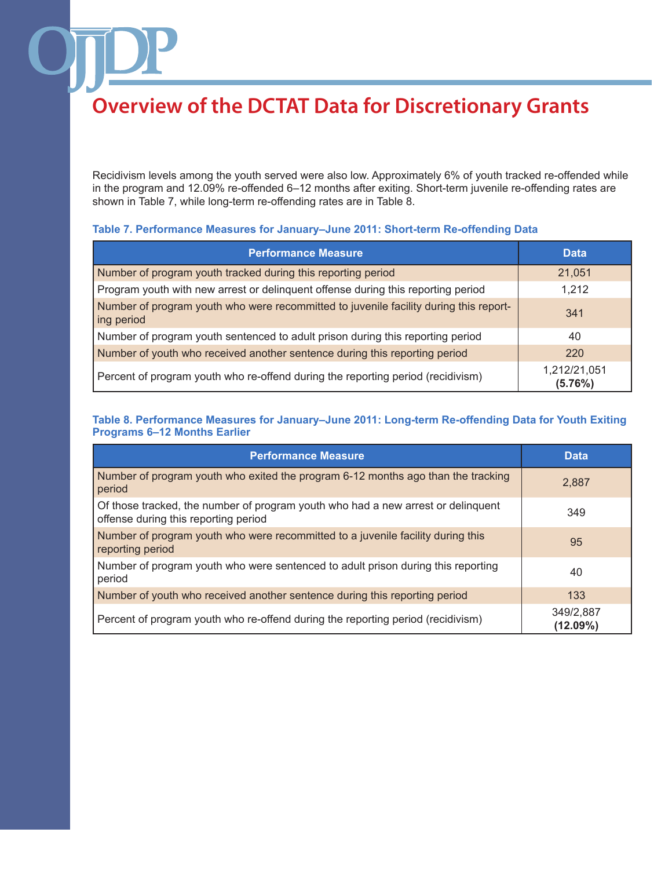Recidivism levels among the youth served were also low. Approximately 6% of youth tracked re-offended while in the program and 12.09% re-offended 6–12 months after exiting. Short-term juvenile re-offending rates are shown in Table 7, while long-term re-offending rates are in Table 8.

### **Table 7. Performance Measures for January–June 2011: Short-term Re-offending Data**

| <b>Performance Measure</b>                                                                          | <b>Data</b>             |
|-----------------------------------------------------------------------------------------------------|-------------------------|
| Number of program youth tracked during this reporting period                                        | 21,051                  |
| Program youth with new arrest or delinguent offense during this reporting period                    | 1,212                   |
| Number of program youth who were recommitted to juvenile facility during this report-<br>ing period | 341                     |
| Number of program youth sentenced to adult prison during this reporting period                      | 40                      |
| Number of youth who received another sentence during this reporting period                          | <b>220</b>              |
| Percent of program youth who re-offend during the reporting period (recidivism)                     | 1,212/21,051<br>(5.76%) |

### **Table 8. Performance Measures for January–June 2011: Long-term Re-offending Data for Youth Exiting Programs 6–12 Months Earlier**

| <b>Performance Measure</b>                                                                                               | <b>Data</b>              |
|--------------------------------------------------------------------------------------------------------------------------|--------------------------|
| Number of program youth who exited the program 6-12 months ago than the tracking<br>period                               | 2.887                    |
| Of those tracked, the number of program youth who had a new arrest or delinquent<br>offense during this reporting period | 349                      |
| Number of program youth who were recommitted to a juvenile facility during this<br>reporting period                      | 95                       |
| Number of program youth who were sentenced to adult prison during this reporting<br>period                               | 40                       |
| Number of youth who received another sentence during this reporting period                                               | 133                      |
| Percent of program youth who re-offend during the reporting period (recidivism)                                          | 349/2,887<br>$(12.09\%)$ |